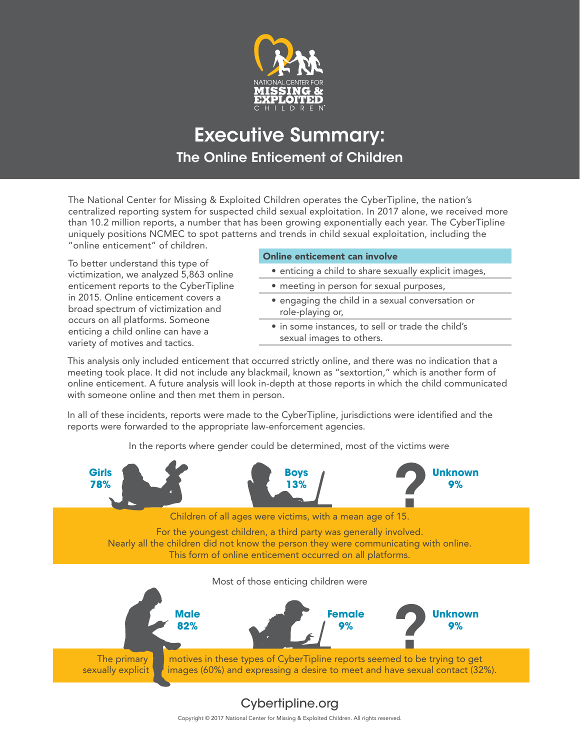

# Executive Summary: The Online Enticement of Children

The National Center for Missing & Exploited Children operates the CyberTipline, the nation's centralized reporting system for suspected child sexual exploitation. In 2017 alone, we received more than 10.2 million reports, a number that has been growing exponentially each year. The CyberTipline uniquely positions NCMEC to spot patterns and trends in child sexual exploitation, including the "online enticement" of children.

To better understand this type of victimization, we analyzed 5,863 online enticement reports to the CyberTipline in 2015. Online enticement covers a broad spectrum of victimization and occurs on all platforms. Someone enticing a child online can have a variety of motives and tactics.

### Online enticement can involve

- enticing a child to share sexually explicit images,
- meeting in person for sexual purposes,
- engaging the child in a sexual conversation or role-playing or,
- in some instances, to sell or trade the child's sexual images to others.

This analysis only included enticement that occurred strictly online, and there was no indication that a meeting took place. It did not include any blackmail, known as "sextortion," which is another form of online enticement. A future analysis will look in-depth at those reports in which the child communicated with someone online and then met them in person.

In all of these incidents, reports were made to the CyberTipline, jurisdictions were identified and the reports were forwarded to the appropriate law-enforcement agencies.

In the reports where gender could be determined, most of the victims were



## [Cybertipline.org](http://www.cybertipline.org)

Copyright © 2017 National Center for Missing & Exploited Children. All rights reserved.